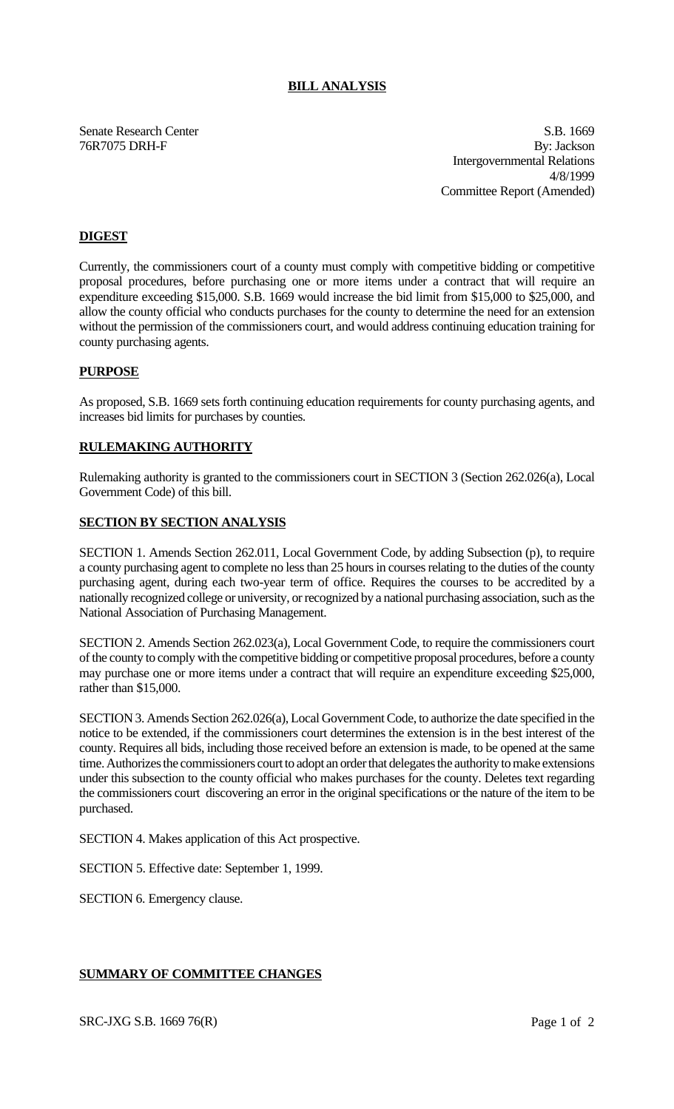### **BILL ANALYSIS**

Senate Research Center S.B. 1669 76R7075 DRH-F By: Jackson Intergovernmental Relations 4/8/1999 Committee Report (Amended)

# **DIGEST**

Currently, the commissioners court of a county must comply with competitive bidding or competitive proposal procedures, before purchasing one or more items under a contract that will require an expenditure exceeding \$15,000. S.B. 1669 would increase the bid limit from \$15,000 to \$25,000, and allow the county official who conducts purchases for the county to determine the need for an extension without the permission of the commissioners court, and would address continuing education training for county purchasing agents.

#### **PURPOSE**

As proposed, S.B. 1669 sets forth continuing education requirements for county purchasing agents, and increases bid limits for purchases by counties.

#### **RULEMAKING AUTHORITY**

Rulemaking authority is granted to the commissioners court in SECTION 3 (Section 262.026(a), Local Government Code) of this bill.

#### **SECTION BY SECTION ANALYSIS**

SECTION 1. Amends Section 262.011, Local Government Code, by adding Subsection (p), to require a county purchasing agent to complete no less than 25 hours in courses relating to the duties of the county purchasing agent, during each two-year term of office. Requires the courses to be accredited by a nationally recognized college or university, or recognized by a national purchasing association, such as the National Association of Purchasing Management.

SECTION 2. Amends Section 262.023(a), Local Government Code, to require the commissioners court of the county to comply with the competitive bidding or competitive proposal procedures, before a county may purchase one or more items under a contract that will require an expenditure exceeding \$25,000, rather than \$15,000.

SECTION 3. Amends Section 262.026(a), Local Government Code, to authorize the date specified in the notice to be extended, if the commissioners court determines the extension is in the best interest of the county. Requires all bids, including those received before an extension is made, to be opened at the same time. Authorizes the commissioners court to adopt an order that delegates the authority to make extensions under this subsection to the county official who makes purchases for the county. Deletes text regarding the commissioners court discovering an error in the original specifications or the nature of the item to be purchased.

SECTION 4. Makes application of this Act prospective.

SECTION 5. Effective date: September 1, 1999.

SECTION 6. Emergency clause.

### **SUMMARY OF COMMITTEE CHANGES**

SRC-JXG S.B. 1669 76(R) Page 1 of 2